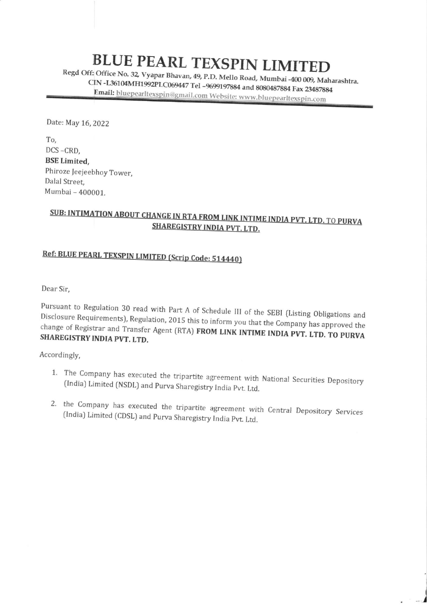## **BLUE PEARL TEXSPIN LIMITED**

Regd Off: Office No. 32, Vyapar CIN -L36104MH1992PLC069447 Tel -9699197884 and 8080487884 Fax 23487884 Email: bluepearltexspin@gmail.com Website: www.bluepearltexspin.com

Date: May 16, 2022

To, DCS -CRD, BSE Limited, Phiroze Jeejeebhoy Tower, Dalal Street. Mumbai - 400001.

## SUB: INTIMATION ABOUT CHANGE IN RTA FROM LINK INTIME INDIA PVT. LTD. TO PURVA SHAREGISTRY INDIA PVT. LTD.

## Ref: BLUE PEARL TEXSPIN LIMITED (Scrip Code: 514440)

Dear Sir,

Pursuant to Regulation 30 read with Part A of Schedule III of the SEBI (Listing Obligations and<br>Disclosure Requirements), Regulation, 2015 this to inform you that the Company has approved the change of Registrar Disclosure Requirements), Regulation, 2015 this to inform you that the Company has approved the change of Registrar and Transfer Agent (RTA) **FROM LINK INTIME INDIA PVT. LTD. TO PURVA SHAREGISTRY INDIA PVT. LTD.** 

Accordingly,

- 1. The Company has executed the tripartite agreement with National Securities Depository (India) Limited (NSDL) and Purva Sharegistry India Pvt. Ltd.
- 2. the Company has executed the tripartite agreement with Central Depository Services (India) Limited (CDSL) and Purva Sharegistry India Pvt. Ltd.

/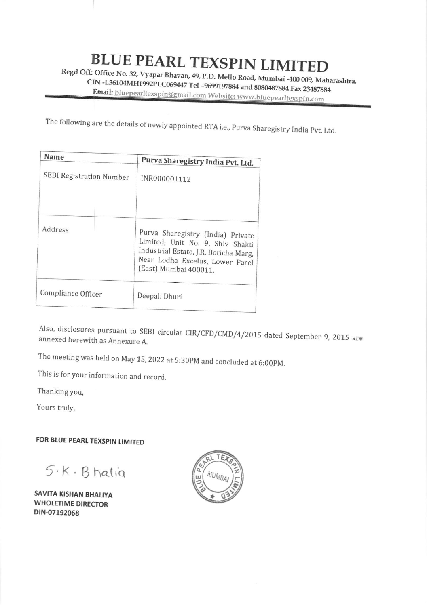## **BLUE PEARL TEXSPIN LIMITED**

Regd Off: Office No. 32, Vyapar Bhavan, 49, P.D. Mello Road, Mumbai -400 009, Maharashtra. CIN -L36104MH1992PLC069447 Tel -9699197884 and 8080487884 Fax 23487884 Email: bluepearltexspin@gmail.com Website: www.bluepearltexspin.com

The following are the details of newly appointed RTA i.e., Purva Sharegistry India Pvt. Ltd.

| Name                            | Purva Sharegistry India Pvt. Ltd.                                                                                                                                          |
|---------------------------------|----------------------------------------------------------------------------------------------------------------------------------------------------------------------------|
| <b>SEBI Registration Number</b> | INR000001112                                                                                                                                                               |
| Address                         | Purva Sharegistry (India) Private<br>Limited, Unit No. 9, Shiv Shakti<br>Industrial Estate, J.R. Boricha Marg,<br>Near Lodha Excelus, Lower Parel<br>(East) Mumbai 400011. |
| Compliance Officer              | Deepali Dhuri                                                                                                                                                              |

Also, disclosures pursuant to SEBI circular CIR/CFD/CMD/4/2015 dated September 9, 2015 are annexed herewith as Annexure A.

The meeting was held on May 15, 2022 at 5:30PM and concluded at 6:00PM.

This is for your information and record.

Thanking you,

Yours truly,

FOR BLUE PEARL TEXSPIN LIMITED

 $5.5.8$  Bhalia

SAVITA KISHAN BHALIYA **WHOLETIME DIRECTOR** DIN-07192068